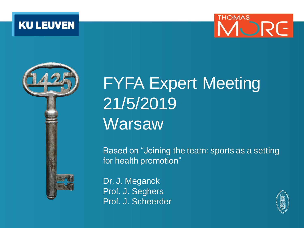





# FYFA Expert Meeting 21/5/2019 **Warsaw**

Based on "Joining the team: sports as a setting for health promotion"

Dr. J. Meganck Prof. J. Seghers Prof. J. Scheerder

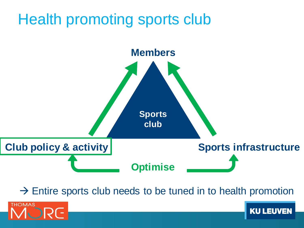# Health promoting sports club



 $\rightarrow$  Entire sports club needs to be tuned in to health promotion

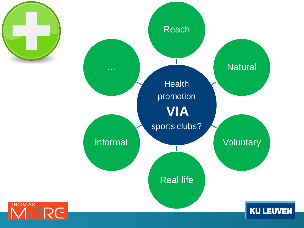



**THOMAS**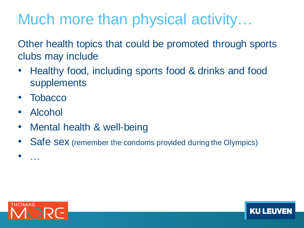# Much more than physical activity…

Other health topics that could be promoted through sports clubs may include

- Healthy food, including sports food & drinks and food supplements
- **Tobacco**
- Alcohol
- Mental health & well-being
- Safe sex (remember the condoms provided during the Olympics)



• …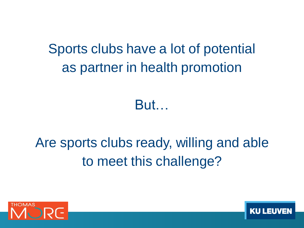Sports clubs have a lot of potential as partner in health promotion

But…

# Are sports clubs ready, willing and able to meet this challenge?

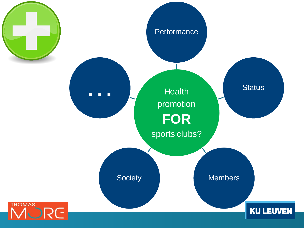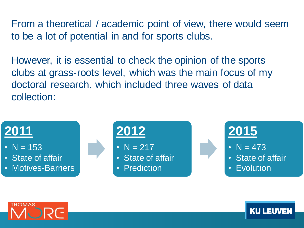From a theoretical / academic point of view, there would seem to be a lot of potential in and for sports clubs.

However, it is essential to check the opinion of the sports clubs at grass-roots level, which was the main focus of my doctoral research, which included three waves of data collection:



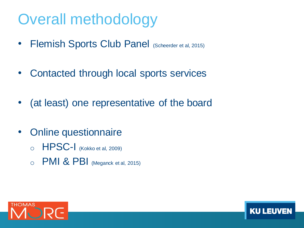# Overall methodology

- Flemish Sports Club Panel (Scheerder et al, 2015)
- Contacted through local sports services
- (at least) one representative of the board
- Online questionnaire
	- $\circ$  HPSC-I (Kokko et al, 2009)
	- $\circ$  PMI & PBI (Meganck et al, 2015)

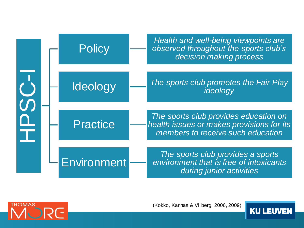|  |  | <b>Policy</b>      | Health and well-being viewpoints are<br>observed throughout the sports club's<br>decision making process                |
|--|--|--------------------|-------------------------------------------------------------------------------------------------------------------------|
|  |  | Ideology           | The sports club promotes the Fair Play<br>ideology                                                                      |
|  |  | <b>Practice</b>    | The sports club provides education on<br>health issues or makes provisions for its<br>members to receive such education |
|  |  | <b>Environment</b> | The sports club provides a sports<br>environment that is free of intoxicants<br>during junior activities                |



(Kokko, Kannas & Villberg, 2006, 2009)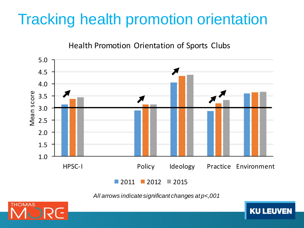# Tracking health promotion orientation

Health Promotion Orientation of Sports Clubs



*All arrows indicatesignificant changes at p<,001*

**KU LEUV** 

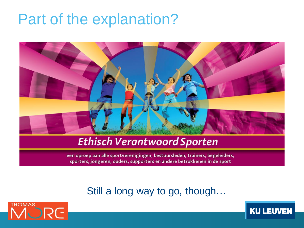# Part of the explanation?



### **Ethisch Verantwoord Sporten**

een oproep aan alle sportverenigingen, bestuursleden, trainers, begeleiders, sporters, jongeren, ouders, supporters en andere betrokkenen in de sport

### Still a long way to go, though…



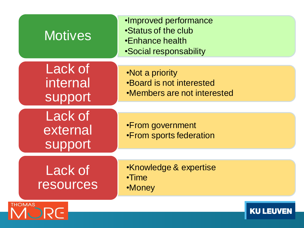| <b>Motives</b>                        | ·Improved performance<br>•Status of the club<br>•Enhance health<br><b>Social responsability</b> |                  |
|---------------------------------------|-------------------------------------------------------------------------------------------------|------------------|
| Lack of<br>internal<br><b>support</b> | •Not a priority<br><b>.Board is not interested</b><br>•Members are not interested               |                  |
| <b>Lack of</b><br>external<br>support | •From government<br>•From sports federation                                                     |                  |
| Lack of<br><b>resources</b>           | •Knowledge & expertise<br>$\cdot$ Time<br>•Money                                                |                  |
| <b>THOMAS</b>                         |                                                                                                 | <b>KU LEUVEN</b> |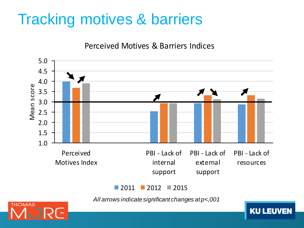# Tracking motives & barriers

Perceived Motives & Barriers Indices



#### $\blacksquare$  2011  $\blacksquare$  2012  $\blacksquare$  2015

*All arrows indicatesignificant changes at p<,001*

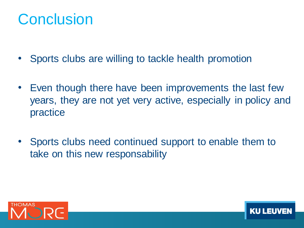# **Conclusion**

- Sports clubs are willing to tackle health promotion
- Even though there have been improvements the last few years, they are not yet very active, especially in policy and practice
- Sports clubs need continued support to enable them to take on this new responsability

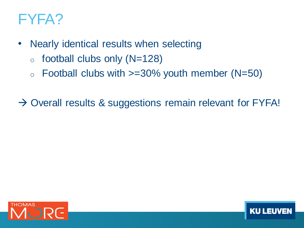# FYFA?

- Nearly identical results when selecting
	- $\circ$  football clubs only (N=128)
	- $\circ$  Football clubs with  $>=30\%$  youth member (N=50)

 $\rightarrow$  Overall results & suggestions remain relevant for FYFA!

KU L

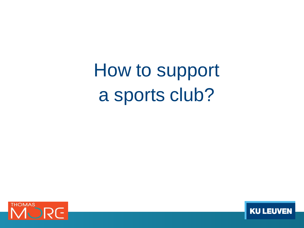How to support a sports club?



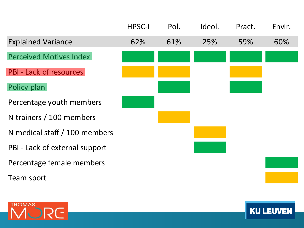|                                | <b>HPSC-I</b> | Pol. | Ideol. | Pract. | Envir. |
|--------------------------------|---------------|------|--------|--------|--------|
| <b>Explained Variance</b>      | 62%           | 61%  | 25%    | 59%    | 60%    |
| <b>Perceived Motives Index</b> |               |      |        |        |        |
| <b>PBI - Lack of resources</b> |               |      |        |        |        |
| Policy plan                    |               |      |        |        |        |
| Percentage youth members       |               |      |        |        |        |
| N trainers / 100 members       |               |      |        |        |        |
| N medical staff / 100 members  |               |      |        |        |        |
| PBI - Lack of external support |               |      |        |        |        |
| Percentage female members      |               |      |        |        |        |
| Team sport                     |               |      |        |        |        |
|                                |               |      |        |        |        |



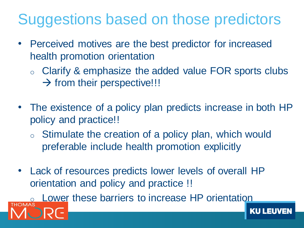# Suggestions based on those predictors

- Perceived motives are the best predictor for increased health promotion orientation
	- o Clarify & emphasize the added value FOR sports clubs  $\rightarrow$  from their perspective!!!
- The existence of a policy plan predicts increase in both HP policy and practice!!
	- o Stimulate the creation of a policy plan, which would preferable include health promotion explicitly
- Lack of resources predicts lower levels of overall HP orientation and policy and practice !!

Lower these barriers to increase HP orientation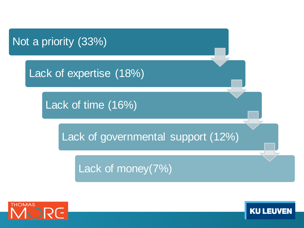

Lack of expertise (18%)

Lack of time (16%)

Lack of governmental support (12%)

Lack of money(7%)



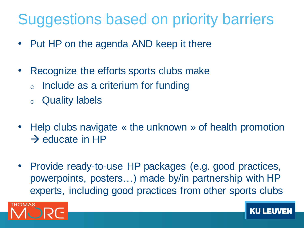# Suggestions based on priority barriers

- Put HP on the agenda AND keep it there
- Recognize the efforts sports clubs make
	- o Include as a criterium for funding
	- o Quality labels
- Help clubs navigate « the unknown » of health promotion  $\rightarrow$  educate in HP
- Provide ready-to-use HP packages (e.g. good practices, powerpoints, posters…) made by/in partnership with HP experts, including good practices from other sports clubs

KU L

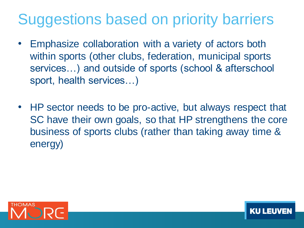# Suggestions based on priority barriers

- Emphasize collaboration with a variety of actors both within sports (other clubs, federation, municipal sports services…) and outside of sports (school & afterschool sport, health services…)
- HP sector needs to be pro-active, but always respect that SC have their own goals, so that HP strengthens the core business of sports clubs (rather than taking away time & energy)

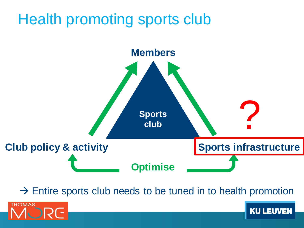# Health promoting sports club



 $\rightarrow$  Entire sports club needs to be tuned in to health promotion

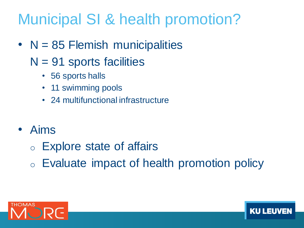# Municipal SI & health promotion?

- $N = 85$  Flemish municipalities
	- $N = 91$  sports facilities
		- 56 sports halls
		- 11 swimming pools
		- 24 multifunctional infrastructure
- Aims
	- o Explore state of affairs
	- o Evaluate impact of health promotion policy



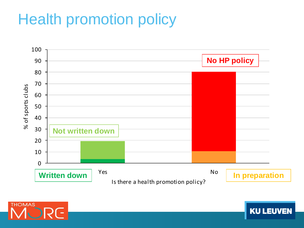# Health promotion policy



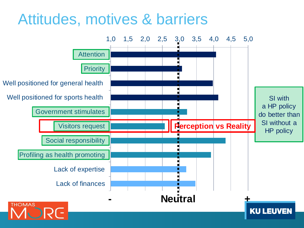# Attitudes, motives & barriers

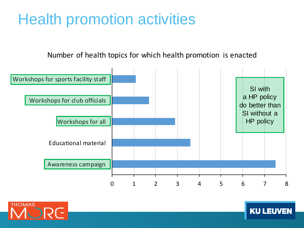# Health promotion activities

#### Number of health topics for which health promotion is enacted



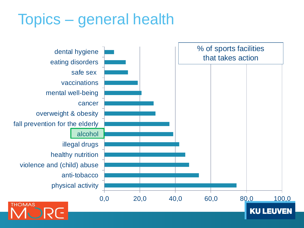# Topics – general health

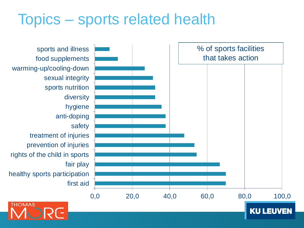# Topics – sports related health

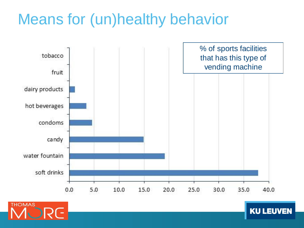# Means for (un)healthy behavior



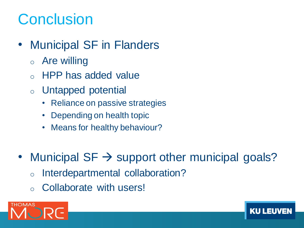# **Conclusion**

- Municipal SF in Flanders
	- o Are willing
	- o HPP has added value
	- o Untapped potential
		- Reliance on passive strategies
		- Depending on health topic
		- Means for healthy behaviour?
- Municipal  $SF \rightarrow$  support other municipal goals?
	- o Interdepartmental collaboration?
	- o Collaborate with users!